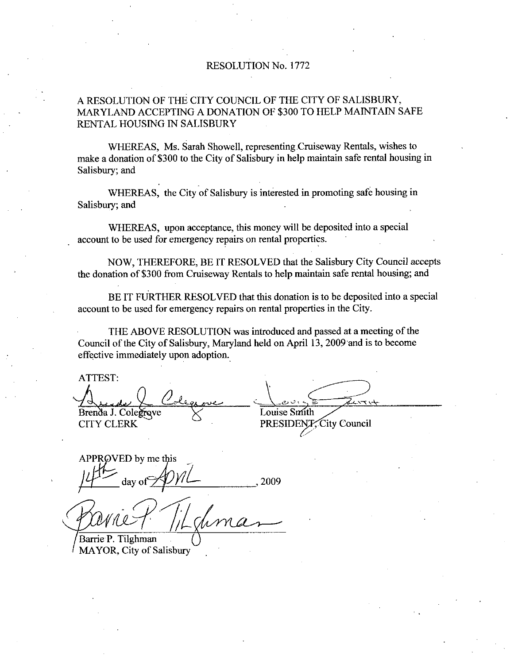## RESOLUTION No. 1772

## A RESOLUTION OF THE CITY COUNCIL OF THE CITY OF SALISBURY MARYLAND ACCEPTING A DONATION OF 300 TO HELP MAINTAIN SAFE RENTAL HOUSING IN SALISBURY

WHEREAS, Ms. Sarah Showell, representing Cruiseway Rentals, wishes to make a donation of \$300 to the City of Salisbury in help maintain safe rental housing in Salisbury; and

WHEREAS, the City of Salisbury is interested in promoting safe housing in Salisbury; and

WHEREAS, upon acceptance, this money will be deposited into a special account to be used for emergency repairs on rental properties

NOW, THEREFORE, BE IT RESOLVED that the Salisbury City Council accepts the donation of \$300 from Cruiseway Rentals to help maintain safe rental housing; and

BE IT FURTHER RESOLVED that this donation is to be deposited into a special account to be used for emergency repairs on rental properties in the City

THE ABOVE RESOLUTION was introduced and passed at ameeting of the Council of the City of Salisbury, Maryland held on April 13, 2009 and is to become effective immediately upon adoption

ATTEST

Brenda J. Colegrove CITY CLERK

Louise Smith ith<br>VP

PRESIDENT, City Council

APPR $\oslash$ VED by me this day of  $\frac{2009}{ }$ 

Pavne P

MAYOR, City of Salisbury